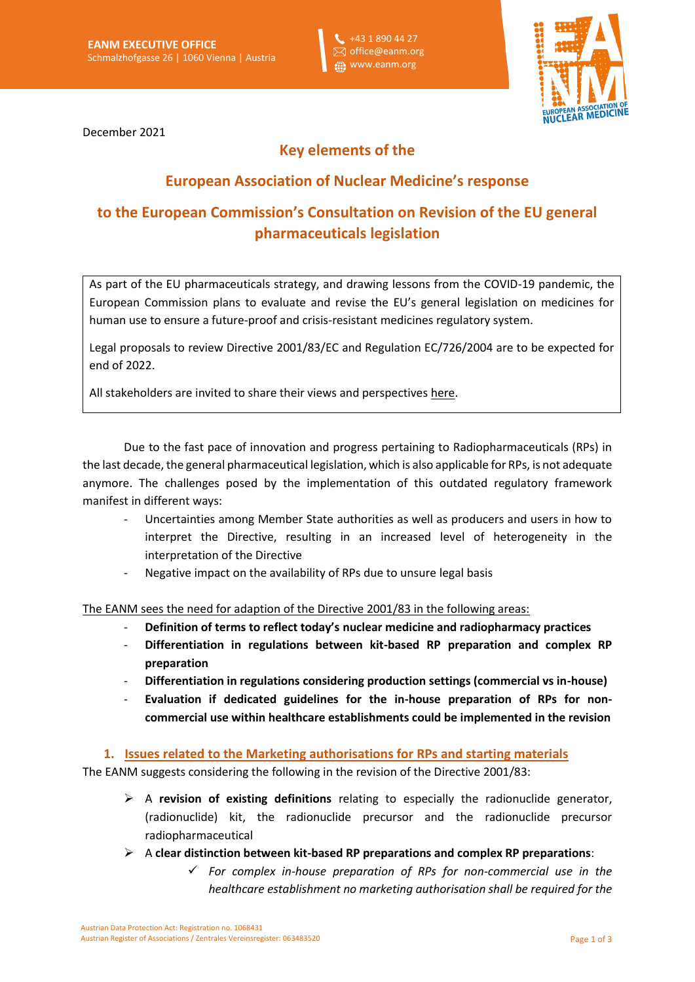+43 1 890 44 27 office@eanm.org **fil** www.eanm.org



December 2021

## **Key elements of the**

### **European Association of Nuclear Medicine's response**

# **to the European Commission's Consultation on Revision of the EU general pharmaceuticals legislation**

As part of the EU pharmaceuticals strategy, and drawing lessons from the COVID-19 pandemic, the European Commission plans to evaluate and revise the EU's general legislation on medicines for human use to ensure a future-proof and crisis-resistant medicines regulatory system.

Legal proposals to review Directive 2001/83/EC and Regulation EC/726/2004 are to be expected for end of 2022.

All stakeholders are invited to share their views and perspectives [here.](https://ec.europa.eu/info/law/better-regulation/have-your-say/initiatives/12963-Revision-of-the-EU-general-pharmaceuticals-legislation_en)

Due to the fast pace of innovation and progress pertaining to Radiopharmaceuticals (RPs) in the last decade, the general pharmaceutical legislation, which is also applicable for RPs, is not adequate anymore. The challenges posed by the implementation of this outdated regulatory framework manifest in different ways:

- Uncertainties among Member State authorities as well as producers and users in how to interpret the Directive, resulting in an increased level of heterogeneity in the interpretation of the Directive
- Negative impact on the availability of RPs due to unsure legal basis

The EANM sees the need for adaption of the Directive 2001/83 in the following areas:

- **Definition of terms to reflect today's nuclear medicine and radiopharmacy practices**
- **Differentiation in regulations between kit-based RP preparation and complex RP preparation**
- **Differentiation in regulations considering production settings (commercial vs in-house)**
- **Evaluation if dedicated guidelines for the in-house preparation of RPs for noncommercial use within healthcare establishments could be implemented in the revision**

**1. Issues related to the Marketing authorisations for RPs and starting materials**

The EANM suggests considering the following in the revision of the Directive 2001/83:

- ➢ A **revision of existing definitions** relating to especially the radionuclide generator, (radionuclide) kit, the radionuclide precursor and the radionuclide precursor radiopharmaceutical
- ➢ A **clear distinction between kit-based RP preparations and complex RP preparations**:
	- ✓ *For complex in-house preparation of RPs for non-commercial use in the healthcare establishment no marketing authorisation shall be required for the*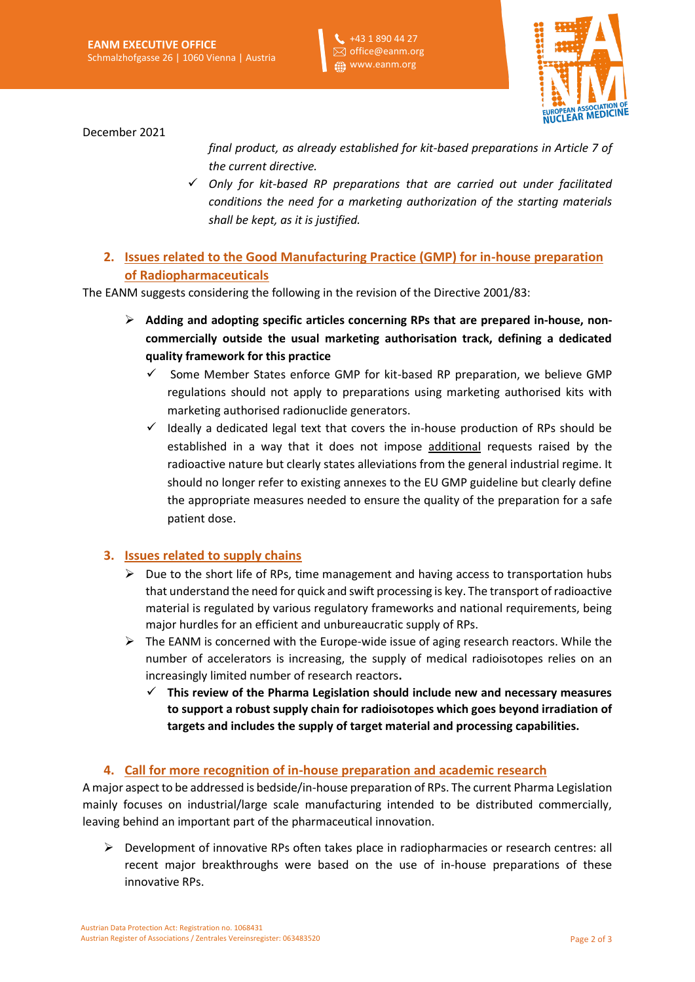+43 1 890 44 27  $\boxtimes$  office@eanm.org **Example 12** www.eanm.org



December 2021

*final product, as already established for kit-based preparations in Article 7 of the current directive.*

- ✓ *Only for kit-based RP preparations that are carried out under facilitated conditions the need for a marketing authorization of the starting materials shall be kept, as it is justified.*
- **2. Issues related to the Good Manufacturing Practice (GMP) for in-house preparation of Radiopharmaceuticals**

The EANM suggests considering the following in the revision of the Directive 2001/83:

- ➢ **Adding and adopting specific articles concerning RPs that are prepared in-house, noncommercially outside the usual marketing authorisation track, defining a dedicated quality framework for this practice**
	- $\checkmark$  Some Member States enforce GMP for kit-based RP preparation, we believe GMP regulations should not apply to preparations using marketing authorised kits with marketing authorised radionuclide generators.
	- $\checkmark$  Ideally a dedicated legal text that covers the in-house production of RPs should be established in a way that it does not impose additional requests raised by the radioactive nature but clearly states alleviations from the general industrial regime. It should no longer refer to existing annexes to the EU GMP guideline but clearly define the appropriate measures needed to ensure the quality of the preparation for a safe patient dose.

### **3. Issues related to supply chains**

- $\triangleright$  Due to the short life of RPs, time management and having access to transportation hubs that understand the need for quick and swift processing is key. The transport of radioactive material is regulated by various regulatory frameworks and national requirements, being major hurdles for an efficient and unbureaucratic supply of RPs.
- $\triangleright$  The EANM is concerned with the Europe-wide issue of aging research reactors. While the number of accelerators is increasing, the supply of medical radioisotopes relies on an increasingly limited number of research reactors**.** 
	- ✓ **This review of the Pharma Legislation should include new and necessary measures to support a robust supply chain for radioisotopes which goes beyond irradiation of targets and includes the supply of target material and processing capabilities.**

### **4. Call for more recognition of in-house preparation and academic research**

A major aspect to be addressed is bedside/in-house preparation of RPs. The current Pharma Legislation mainly focuses on industrial/large scale manufacturing intended to be distributed commercially, leaving behind an important part of the pharmaceutical innovation.

➢ Development of innovative RPs often takes place in radiopharmacies or research centres: all recent major breakthroughs were based on the use of in-house preparations of these innovative RPs.